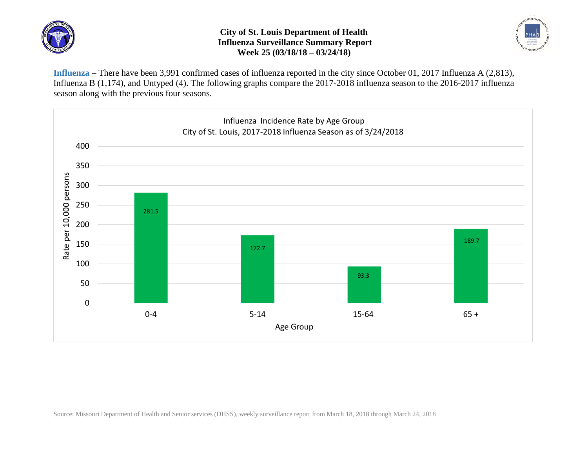

## **City of St. Louis Department of Health Influenza Surveillance Summary Report Week 25 (03/18/18 – 03/24/18)**



**Influenza** – There have been 3,991 confirmed cases of influenza reported in the city since October 01, 2017 Influenza A (2,813), Influenza B (1,174), and Untyped (4). The following graphs compare the 2017-2018 influenza season to the 2016-2017 influenza season along with the previous four seasons.